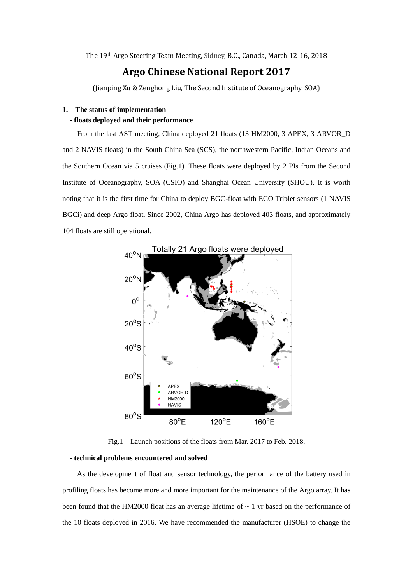The 19th Argo Steering Team Meeting, Sidney, B.C., Canada, March 12-16, 2018

## **Argo Chinese National Report 2017**

(Jianping Xu & Zenghong Liu, The Second Institute of Oceanography, SOA)

### **1. The status of implementation - floats deployed and their performance**

 From the last AST meeting, China deployed 21 floats (13 HM2000, 3 APEX, 3 ARVOR\_D and 2 NAVIS floats) in the South China Sea (SCS), the northwestern Pacific, Indian Oceans and the Southern Ocean via 5 cruises (Fig.1). These floats were deployed by 2 PIs from the Second Institute of Oceanography, SOA (CSIO) and Shanghai Ocean University (SHOU). It is worth noting that it is the first time for China to deploy BGC-float with ECO Triplet sensors (1 NAVIS BGCi) and deep Argo float. Since 2002, China Argo has deployed 403 floats, and approximately 104 floats are still operational.



Fig.1 Launch positions of the floats from Mar. 2017 to Feb. 2018.

### **- technical problems encountered and solved**

 As the development of float and sensor technology, the performance of the battery used in profiling floats has become more and more important for the maintenance of the Argo array. It has been found that the HM2000 float has an average lifetime of  $\sim 1$  yr based on the performance of the 10 floats deployed in 2016. We have recommended the manufacturer (HSOE) to change the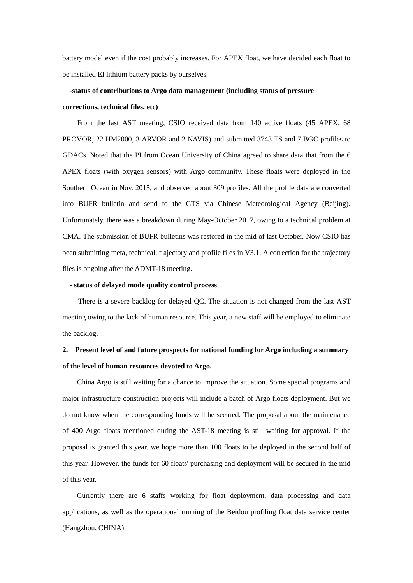battery model even if the cost probably increases. For APEX float, we have decided each float to be installed EI lithium battery packs by ourselves.

# **-status of contributions to Argo data management (including status of pressure**

### **corrections, technical files, etc)**

 From the last AST meeting, CSIO received data from 140 active floats (45 APEX, 68 PROVOR, 22 HM2000, 3 ARVOR and 2 NAVIS) and submitted 3743 TS and 7 BGC profiles to GDACs. Noted that the PI from Ocean University of China agreed to share data that from the 6 APEX floats (with oxygen sensors) with Argo community. These floats were deployed in the Southern Ocean in Nov. 2015, and observed about 309 profiles. All the profile data are converted into BUFR bulletin and send to the GTS via Chinese Meteorological Agency (Beijing). Unfortunately, there was a breakdown during May-October 2017, owing to a technical problem at CMA. The submission of BUFR bulletins was restored in the mid of last October. Now CSIO has been submitting meta, technical, trajectory and profile files in V3.1. A correction for the trajectory files is ongoing after the ADMT-18 meeting.

#### **- status of delayed mode quality control process**

 There is a severe backlog for delayed QC. The situation is not changed from the last AST meeting owing to the lack of human resource. This year, a new staff will be employed to eliminate the backlog.

## **2. Present level of and future prospects for national funding for Argo including a summary of the level of human resources devoted to Argo.**

 China Argo is still waiting for a chance to improve the situation. Some special programs and major infrastructure construction projects will include a batch of Argo floats deployment. But we do not know when the corresponding funds will be secured. The proposal about the maintenance of 400 Argo floats mentioned during the AST-18 meeting is still waiting for approval. If the proposal is granted this year, we hope more than 100 floats to be deployed in the second half of this year. However, the funds for 60 floats' purchasing and deployment will be secured in the mid of this year.

 Currently there are 6 staffs working for float deployment, data processing and data applications, as well as the operational running of the Beidou profiling float data service center (Hangzhou, CHINA).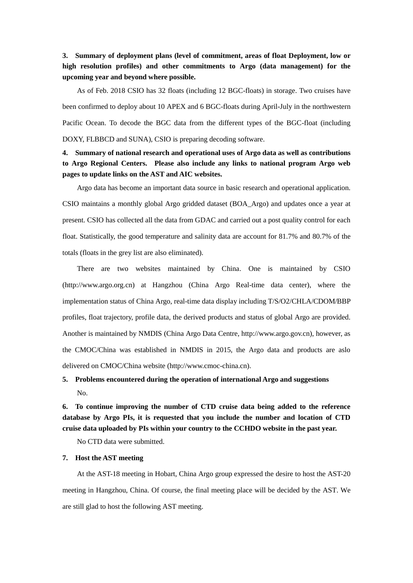## **3. Summary of deployment plans (level of commitment, areas of float Deployment, low or high resolution profiles) and other commitments to Argo (data management) for the upcoming year and beyond where possible.**

 As of Feb. 2018 CSIO has 32 floats (including 12 BGC-floats) in storage. Two cruises have been confirmed to deploy about 10 APEX and 6 BGC-floats during April-July in the northwestern Pacific Ocean. To decode the BGC data from the different types of the BGC-float (including DOXY, FLBBCD and SUNA), CSIO is preparing decoding software.

## **4. Summary of national research and operational uses of Argo data as well as contributions to Argo Regional Centers. Please also include any links to national program Argo web pages to update links on the AST and AIC websites.**

 Argo data has become an important data source in basic research and operational application. CSIO maintains a monthly global Argo gridded dataset (BOA\_Argo) and updates once a year at present. CSIO has collected all the data from GDAC and carried out a post quality control for each float. Statistically, the good temperature and salinity data are account for 81.7% and 80.7% of the totals (floats in the grey list are also eliminated).

 There are two websites maintained by China. One is maintained by CSIO (http://www.argo.org.cn) at Hangzhou (China Argo Real-time data center), where the implementation status of China Argo, real-time data display including T/S/O2/CHLA/CDOM/BBP profiles, float trajectory, profile data, the derived products and status of global Argo are provided. Another is maintained by NMDIS (China Argo Data Centre, http://www.argo.gov.cn), however, as the CMOC/China was established in NMDIS in 2015, the Argo data and products are aslo delivered on CMOC/China website (http://www.cmoc-china.cn).

## **5. Problems encountered during the operation of international Argo and suggestions** No.

**6. To continue improving the number of CTD cruise data being added to the reference database by Argo PIs, it is requested that you include the number and location of CTD cruise data uploaded by PIs within your country to the CCHDO website in the past year.** 

No CTD data were submitted.

### **7. Host the AST meeting**

 At the AST-18 meeting in Hobart, China Argo group expressed the desire to host the AST-20 meeting in Hangzhou, China. Of course, the final meeting place will be decided by the AST. We are still glad to host the following AST meeting.